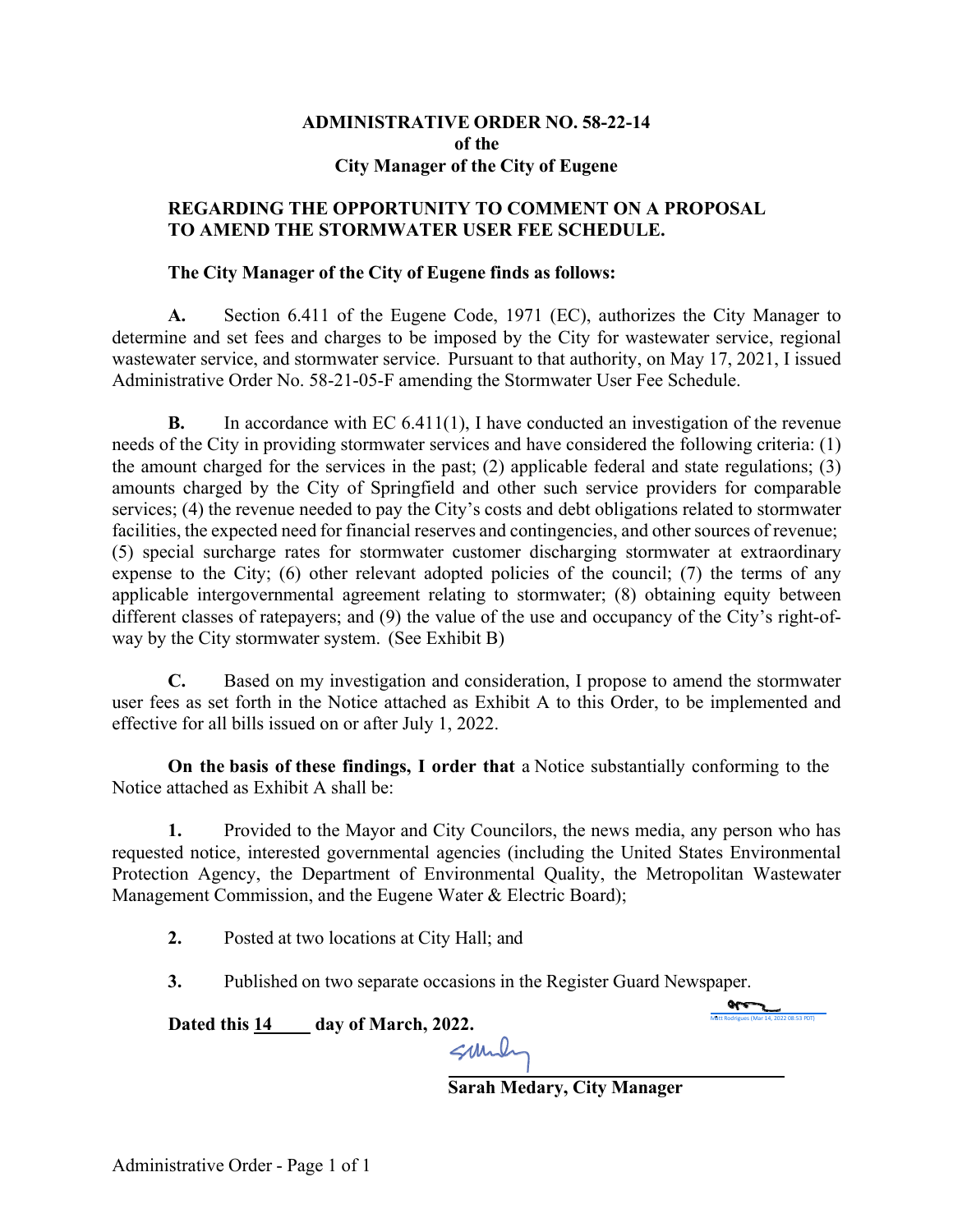# **ADMINISTRATIVE ORDER NO. 58-22-14 of the City Manager of the City of Eugene**

# **REGARDING THE OPPORTUNITY TO COMMENT ON A PROPOSAL TO AMEND THE STORMWATER USER FEE SCHEDULE.**

## **The City Manager of the City of Eugene finds as follows:**

**A.** Section 6.411 of the Eugene Code, 1971 (EC), authorizes the City Manager to determine and set fees and charges to be imposed by the City for wastewater service, regional wastewater service, and stormwater service. Pursuant to that authority, on May 17, 2021, I issued Administrative Order No. 58-21-05-F amending the Stormwater User Fee Schedule.

**B.** In accordance with EC 6.411(1), I have conducted an investigation of the revenue needs of the City in providing stormwater services and have considered the following criteria: (1) the amount charged for the services in the past; (2) applicable federal and state regulations; (3) amounts charged by the City of Springfield and other such service providers for comparable services; (4) the revenue needed to pay the City's costs and debt obligations related to stormwater facilities, the expected need for financial reserves and contingencies, and other sources of revenue; (5) special surcharge rates for stormwater customer discharging stormwater at extraordinary expense to the City; (6) other relevant adopted policies of the council; (7) the terms of any applicable intergovernmental agreement relating to stormwater; (8) obtaining equity between different classes of ratepayers; and (9) the value of the use and occupancy of the City's right-ofway by the City stormwater system. (See Exhibit B)

**C.** Based on my investigation and consideration, I propose to amend the stormwater user fees as set forth in the Notice attached as Exhibit A to this Order, to be implemented and effective for all bills issued on or after July 1, 2022.

**On the basis of these findings, I order that** a Notice substantially conforming to the Notice attached as Exhibit A shall be:

**1.** Provided to the Mayor and City Councilors, the news media, any person who has requested notice, interested governmental agencies (including the United States Environmental Protection Agency, the Department of Environmental Quality, the Metropolitan Wastewater Management Commission, and the Eugene Water & Electric Board);

**2.** Posted at two locations at City Hall; and

**3.** Published on two separate occasions in the Register Guard Newspaper.

Dated this  $\frac{14}{\text{day of March}}$ , 2022.

**Sarah Medary, City Manager**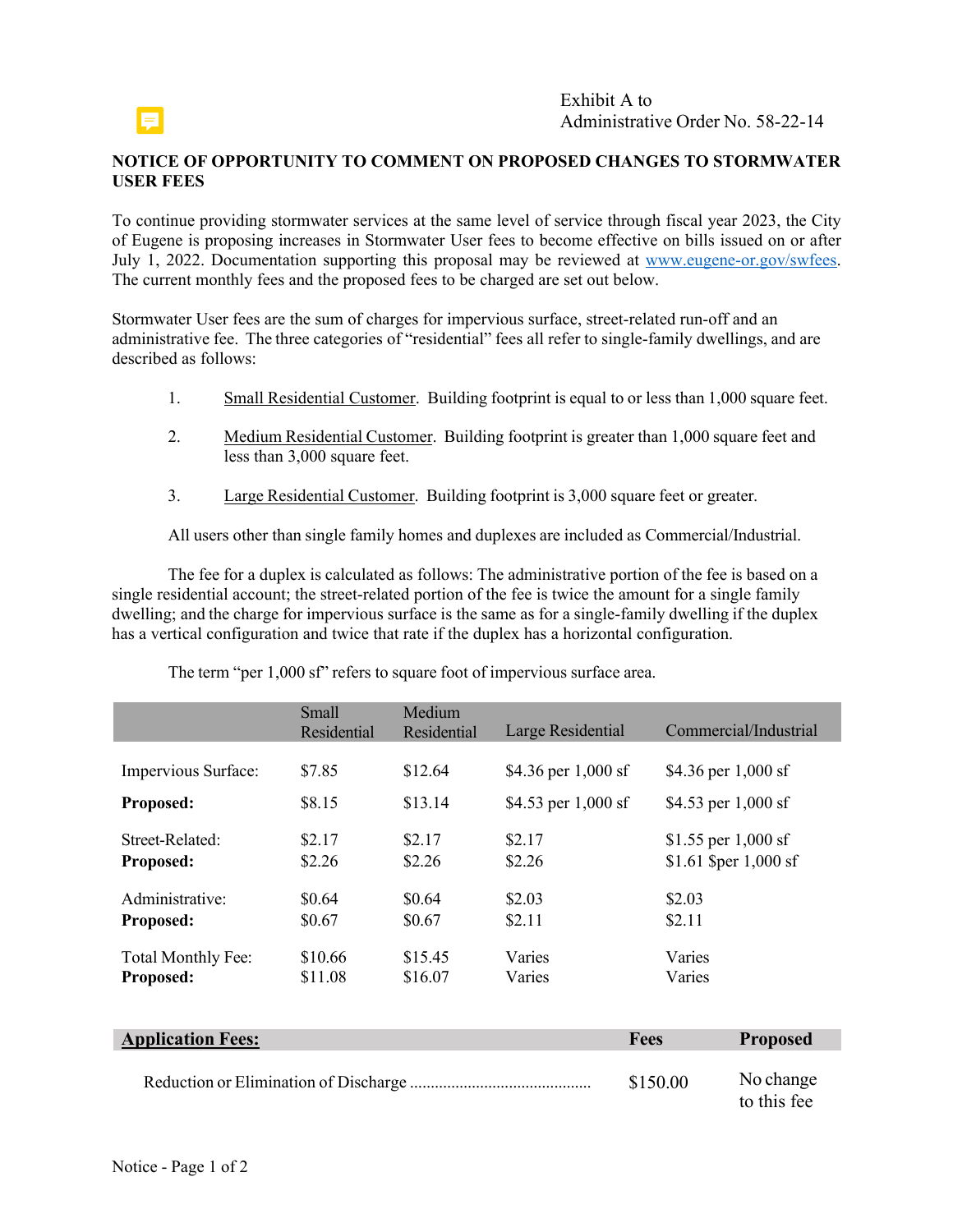

### **NOTICE OF OPPORTUNITY TO COMMENT ON PROPOSED CHANGES TO STORMWATER USER FEES**

To continue providing stormwater services at the same level of service through fiscal year 2023, the City of Eugene is proposing increases in Stormwater User fees to become effective on bills issued on or after July 1, 2022. Documentation supporting this proposal may be reviewed at www.eugene-or.gov/swfees. The current monthly fees and the proposed fees to be charged are set out below.

Stormwater User fees are the sum of charges for impervious surface, street-related run-off and an administrative fee. The three categories of "residential" fees all refer to single-family dwellings, and are described as follows:

- 1. Small Residential Customer. Building footprint is equal to or less than 1,000 square feet.
- 2. Medium Residential Customer. Building footprint is greater than 1,000 square feet and less than 3,000 square feet.
- 3. Large Residential Customer. Building footprint is 3,000 square feet or greater.

All users other than single family homes and duplexes are included as Commercial/Industrial.

The fee for a duplex is calculated as follows: The administrative portion of the fee is based on a single residential account; the street-related portion of the fee is twice the amount for a single family dwelling; and the charge for impervious surface is the same as for a single-family dwelling if the duplex has a vertical configuration and twice that rate if the duplex has a horizontal configuration.

|                     | Small       | Medium      |                       |                       |
|---------------------|-------------|-------------|-----------------------|-----------------------|
|                     | Residential | Residential | Large Residential     | Commercial/Industrial |
|                     |             |             |                       |                       |
| Impervious Surface: | \$7.85      | \$12.64     | \$4.36 per $1,000$ sf | \$4.36 per $1,000$ sf |
| Proposed:           | \$8.15      | \$13.14     | \$4.53 per $1,000$ sf | \$4.53 per $1,000$ sf |
| Street-Related:     | \$2.17      | \$2.17      | \$2.17                | \$1.55 per $1,000$ sf |
| Proposed:           | \$2.26      | \$2.26      | \$2.26                | \$1.61 \$per 1,000 sf |
|                     |             |             |                       |                       |
| Administrative:     | \$0.64      | \$0.64      | \$2.03                | \$2.03                |
| Proposed:           | \$0.67      | \$0.67      | \$2.11                | \$2.11                |
| Total Monthly Fee:  | \$10.66     | \$15.45     | Varies                | Varies                |
| Proposed:           | \$11.08     | \$16.07     | Varies                | Varies                |

The term "per 1,000 sf" refers to square foot of impervious surface area.

| <b>Application Fees:</b> | <b>Fees</b> | <b>Proposed</b>          |
|--------------------------|-------------|--------------------------|
|                          | \$150.00    | No change<br>to this fee |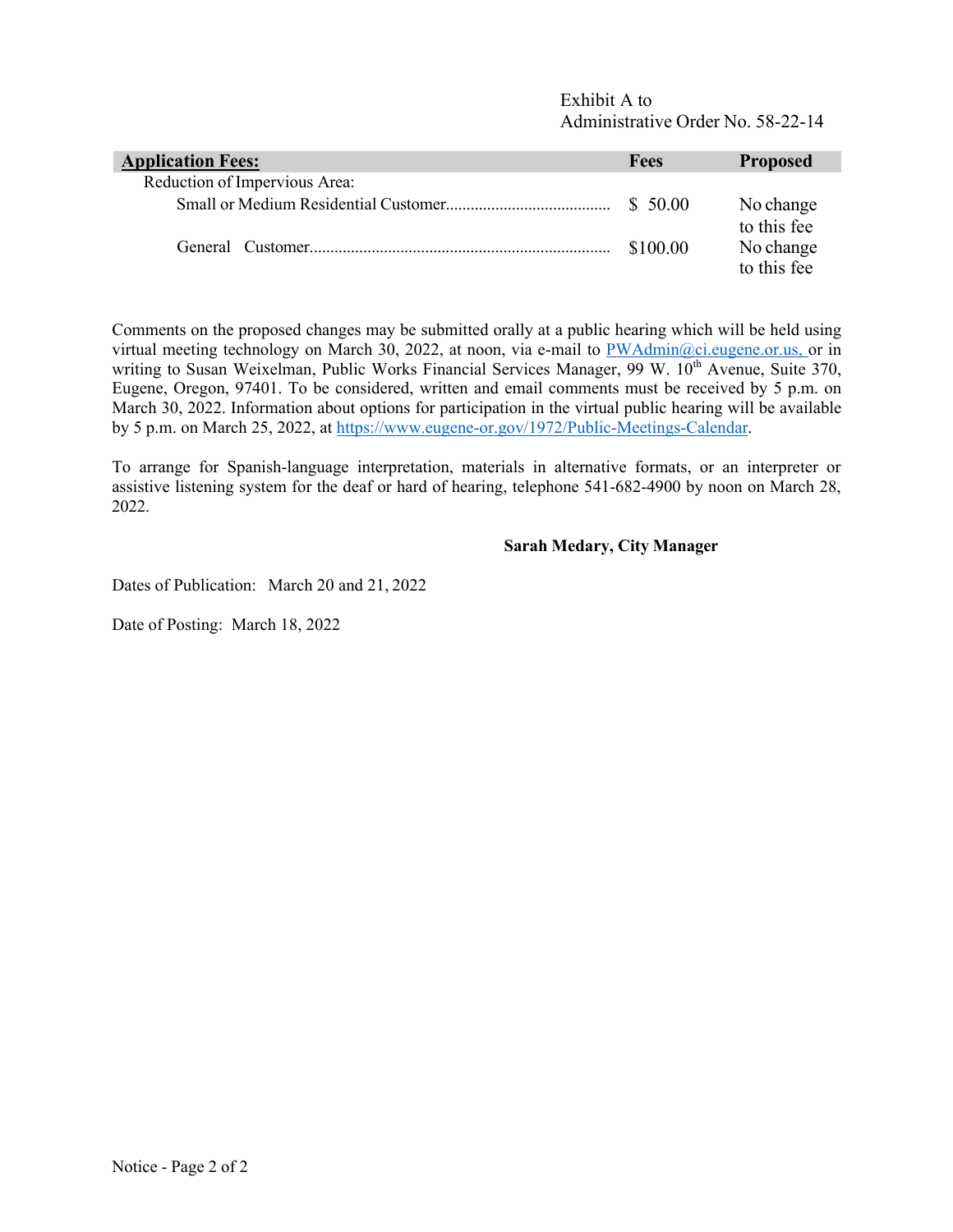| <b>Application Fees:</b>      | <b>Fees</b> | <b>Proposed</b>          |
|-------------------------------|-------------|--------------------------|
| Reduction of Impervious Area: |             |                          |
|                               |             | No change<br>to this fee |
|                               | \$100.00    | No change<br>to this fee |

Comments on the proposed changes may be submitted orally at a public hearing which will be held using virtual meeting technology on March 30, 2022, at noon, via e-mail to PWAdmin@ci.eugene.or.us, or in writing to Susan Weixelman, Public Works Financial Services Manager, 99 W. 10<sup>th</sup> Avenue, Suite 370, Eugene, Oregon, 97401. To be considered, written and email comments must be received by 5 p.m. on March 30, 2022. Information about options for participation in the virtual public hearing will be available by 5 p.m. on March 25, 2022, at https://www.eugene-or.gov/1972/Public-Meetings-Calendar.

To arrange for Spanish-language interpretation, materials in alternative formats, or an interpreter or assistive listening system for the deaf or hard of hearing, telephone 541-682-4900 by noon on March 28, 2022.

#### **Sarah Medary, City Manager**

Dates of Publication: March 20 and 21, 2022

Date of Posting: March 18, 2022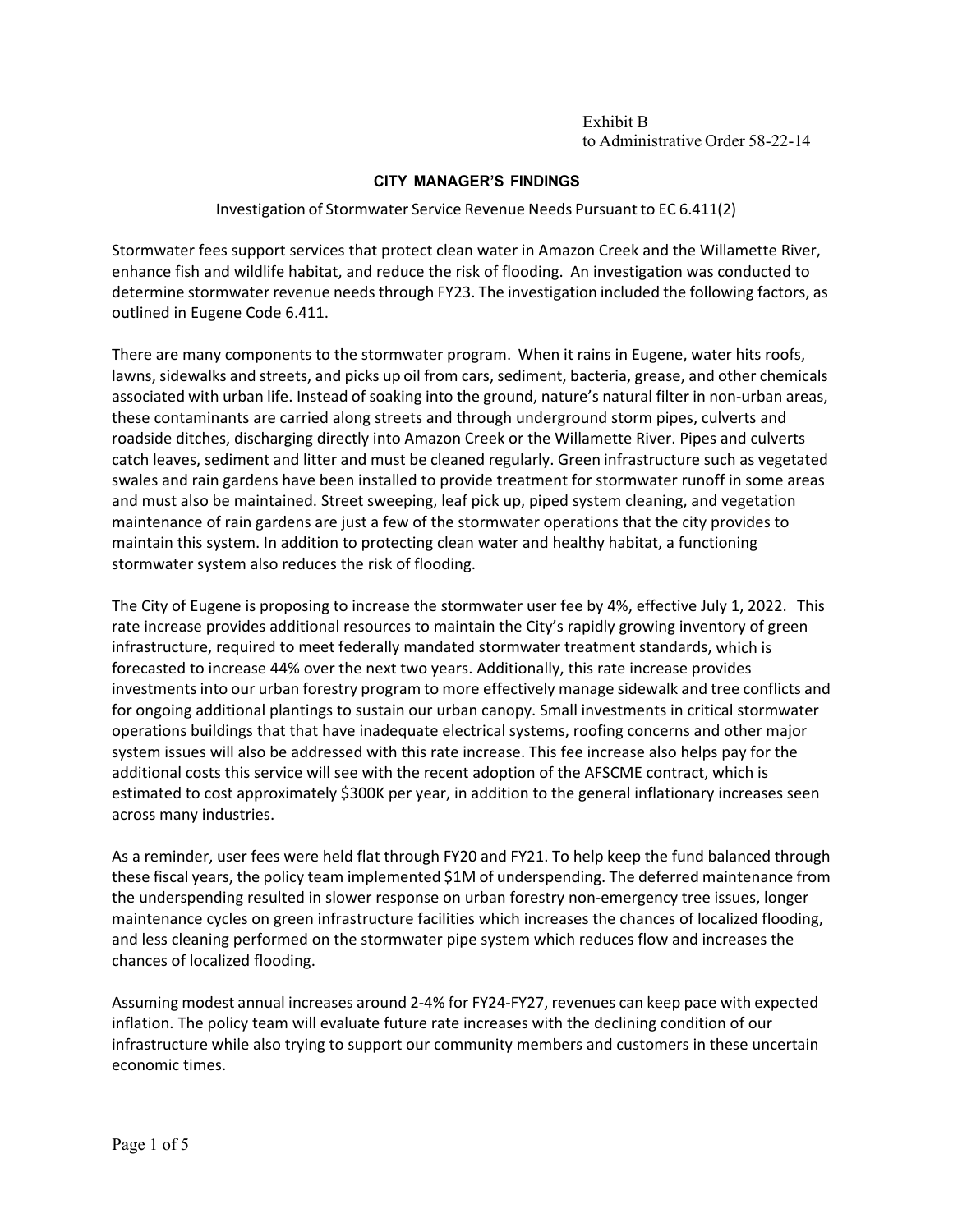### **CITY MANAGER'S FINDINGS**

### Investigation of Stormwater Service Revenue Needs Pursuant to EC 6.411(2)

Stormwater fees support services that protect clean water in Amazon Creek and the Willamette River, enhance fish and wildlife habitat, and reduce the risk of flooding. An investigation was conducted to determine stormwater revenue needs through FY23. The investigation included the following factors, as outlined in Eugene Code 6.411.

There are many components to the stormwater program. When it rains in Eugene, water hits roofs, lawns, sidewalks and streets, and picks up oil from cars, sediment, bacteria, grease, and other chemicals associated with urban life. Instead of soaking into the ground, nature's natural filter in non-urban areas, these contaminants are carried along streets and through underground storm pipes, culverts and roadside ditches, discharging directly into Amazon Creek or the Willamette River. Pipes and culverts catch leaves, sediment and litter and must be cleaned regularly. Green infrastructure such as vegetated swales and rain gardens have been installed to provide treatment for stormwater runoff in some areas and must also be maintained. Street sweeping, leaf pick up, piped system cleaning, and vegetation maintenance of rain gardens are just a few of the stormwater operations that the city provides to maintain this system. In addition to protecting clean water and healthy habitat, a functioning stormwater system also reduces the risk of flooding.

The City of Eugene is proposing to increase the stormwater user fee by 4%, effective July 1, 2022. This rate increase provides additional resources to maintain the City's rapidly growing inventory of green infrastructure, required to meet federally mandated stormwater treatment standards, which is forecasted to increase 44% over the next two years. Additionally, this rate increase provides investmentsinto our urban forestry program to more effectively manage sidewalk and tree conflicts and for ongoing additional plantings to sustain our urban canopy. Small investments in critical stormwater operations buildings that that have inadequate electrical systems, roofing concerns and other major system issues will also be addressed with this rate increase. This fee increase also helps pay for the additional costs this service will see with the recent adoption of the AFSCME contract, which is estimated to cost approximately \$300K per year, in addition to the general inflationary increases seen across many industries.

As a reminder, user fees were held flat through FY20 and FY21. To help keep the fund balanced through these fiscal years, the policy team implemented \$1M of underspending. The deferred maintenance from the underspending resulted in slower response on urban forestry non‐emergency tree issues, longer maintenance cycles on green infrastructure facilities which increases the chances of localized flooding, and less cleaning performed on the stormwater pipe system which reduces flow and increases the chances of localized flooding.

Assuming modest annual increases around 2‐4% for FY24‐FY27, revenues can keep pace with expected inflation. The policy team will evaluate future rate increases with the declining condition of our infrastructure while also trying to support our community members and customers in these uncertain economic times.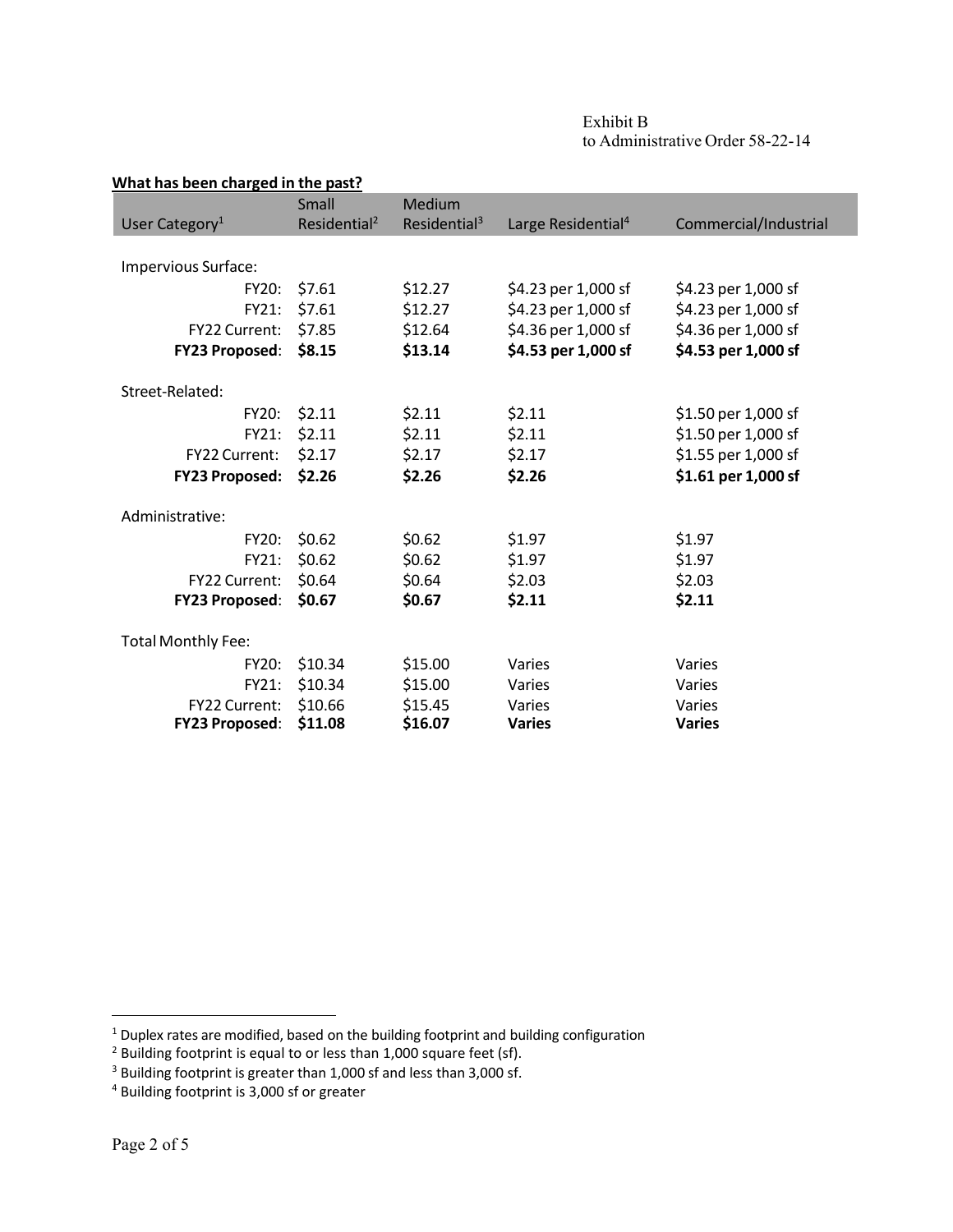| Exhibit B                        |
|----------------------------------|
| to Administrative Order 58-22-14 |

| What has been charged in the past? |                          |                          |                                |                       |  |
|------------------------------------|--------------------------|--------------------------|--------------------------------|-----------------------|--|
|                                    | Small                    | Medium                   |                                |                       |  |
| User Category <sup>1</sup>         | Residential <sup>2</sup> | Residential <sup>3</sup> | Large Residential <sup>4</sup> | Commercial/Industrial |  |
|                                    |                          |                          |                                |                       |  |
| Impervious Surface:                |                          |                          |                                |                       |  |
| FY20:                              | \$7.61                   | \$12.27                  | \$4.23 per 1,000 sf            | \$4.23 per 1,000 sf   |  |
| FY21:                              | \$7.61                   | \$12.27                  | \$4.23 per 1,000 sf            | \$4.23 per 1,000 sf   |  |
| FY22 Current:                      | \$7.85                   | \$12.64                  | \$4.36 per 1,000 sf            | \$4.36 per 1,000 sf   |  |
| <b>FY23 Proposed:</b>              | \$8.15                   | \$13.14                  | \$4.53 per 1,000 sf            | \$4.53 per 1,000 sf   |  |
|                                    |                          |                          |                                |                       |  |
| Street-Related:                    |                          |                          |                                |                       |  |
| FY20:                              | \$2.11                   | \$2.11                   | \$2.11                         | \$1.50 per 1,000 sf   |  |
| FY21:                              | \$2.11                   | \$2.11                   | \$2.11                         | \$1.50 per 1,000 sf   |  |
| FY22 Current:                      | \$2.17                   | \$2.17                   | \$2.17                         | \$1.55 per 1,000 sf   |  |
| <b>FY23 Proposed:</b>              | \$2.26                   | \$2.26                   | \$2.26                         | \$1.61 per 1,000 sf   |  |
| Administrative:                    |                          |                          |                                |                       |  |
| <b>FY20:</b>                       | \$0.62                   | \$0.62                   | \$1.97                         | \$1.97                |  |
| FY21:                              | \$0.62                   | \$0.62                   | \$1.97                         | \$1.97                |  |
| FY22 Current:                      | \$0.64                   | \$0.64                   | \$2.03                         | \$2.03                |  |
| <b>FY23 Proposed:</b>              | \$0.67                   | \$0.67                   | \$2.11                         | \$2.11                |  |
| <b>Total Monthly Fee:</b>          |                          |                          |                                |                       |  |
| FY20:                              | \$10.34                  | \$15.00                  | Varies                         | Varies                |  |
| FY21:                              | \$10.34                  | \$15.00                  | Varies                         | Varies                |  |
| FY22 Current:                      | \$10.66                  | \$15.45                  | Varies                         | Varies                |  |
| <b>FY23 Proposed:</b>              | \$11.08                  | \$16.07                  | <b>Varies</b>                  | <b>Varies</b>         |  |

 $<sup>1</sup>$  Duplex rates are modified, based on the building footprint and building configuration</sup>

 $2$  Building footprint is equal to or less than 1,000 square feet (sf).

 $3$  Building footprint is greater than 1,000 sf and less than 3,000 sf.

<sup>&</sup>lt;sup>4</sup> Building footprint is 3,000 sf or greater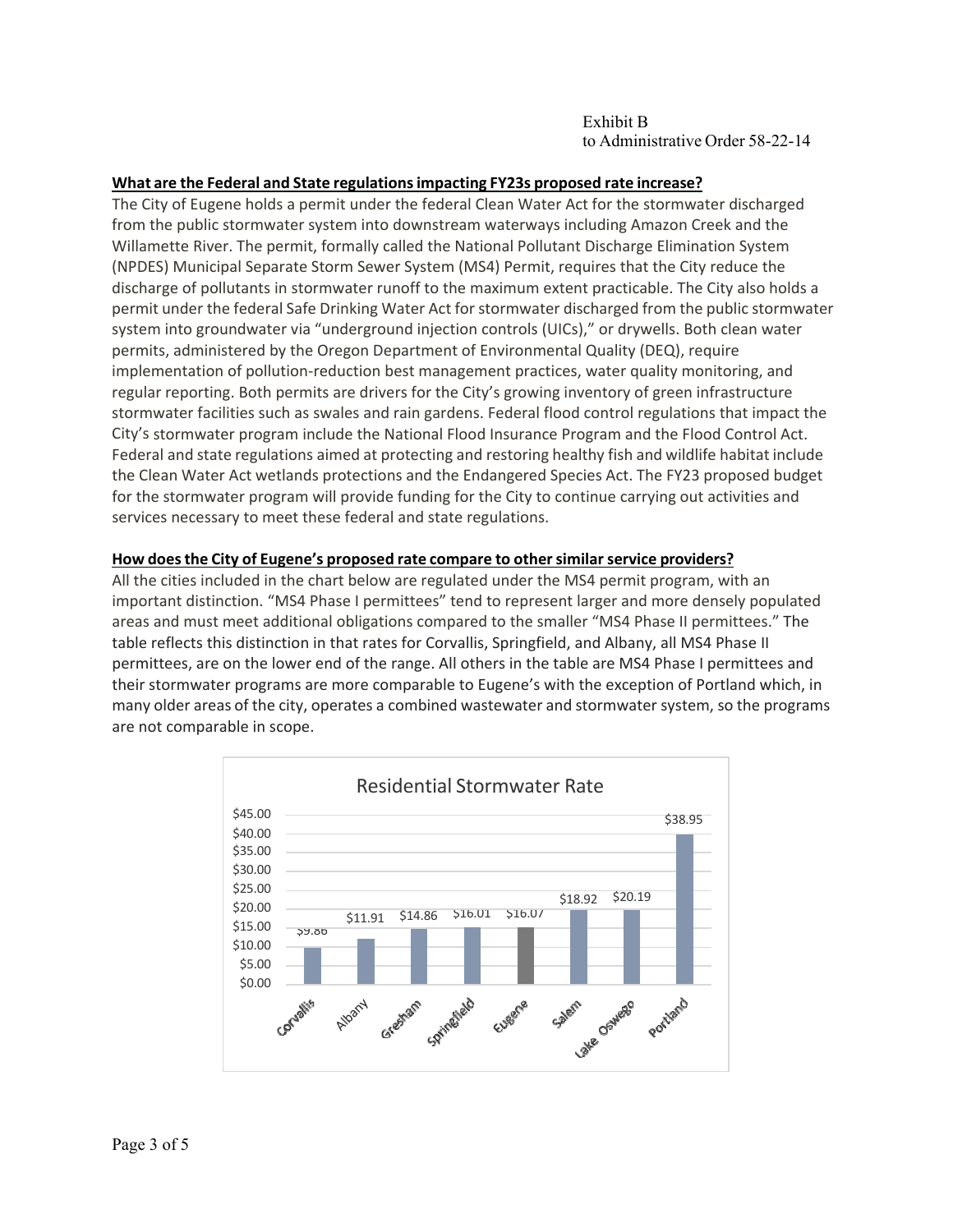### **What are the Federal and State regulationsimpacting FY23s proposed rate increase?**

The City of Eugene holds a permit under the federal Clean Water Act for the stormwater discharged from the public stormwater system into downstream waterways including Amazon Creek and the Willamette River. The permit, formally called the National Pollutant Discharge Elimination System (NPDES) Municipal Separate Storm Sewer System (MS4) Permit, requires that the City reduce the discharge of pollutants in stormwater runoff to the maximum extent practicable. The City also holds a permit under the federal Safe Drinking Water Act for stormwater discharged from the public stormwater system into groundwater via "underground injection controls (UICs)," or drywells. Both clean water permits, administered by the Oregon Department of Environmental Quality (DEQ), require implementation of pollution-reduction best management practices, water quality monitoring, and regular reporting. Both permits are drivers for the City's growing inventory of green infrastructure stormwater facilities such as swales and rain gardens. Federal flood control regulations that impact the City's stormwater program include the National Flood Insurance Program and the Flood Control Act. Federal and state regulations aimed at protecting and restoring healthy fish and wildlife habitat include the Clean Water Act wetlands protections and the Endangered Species Act. The FY23 proposed budget for the stormwater program will provide funding for the City to continue carrying out activities and services necessary to meet these federal and state regulations.

### **How doesthe City of Eugene's proposed rate compare to othersimilar service providers?**

All the cities included in the chart below are regulated under the MS4 permit program, with an important distinction. "MS4 Phase I permittees" tend to represent larger and more densely populated areas and must meet additional obligations compared to the smaller "MS4 Phase II permittees." The table reflects this distinction in that rates for Corvallis, Springfield, and Albany, all MS4 Phase II permittees, are on the lower end of the range. All others in the table are MS4 Phase I permittees and their stormwater programs are more comparable to Eugene's with the exception of Portland which, in many older areas of the city, operates a combined wastewater and stormwater system, so the programs are not comparable in scope.

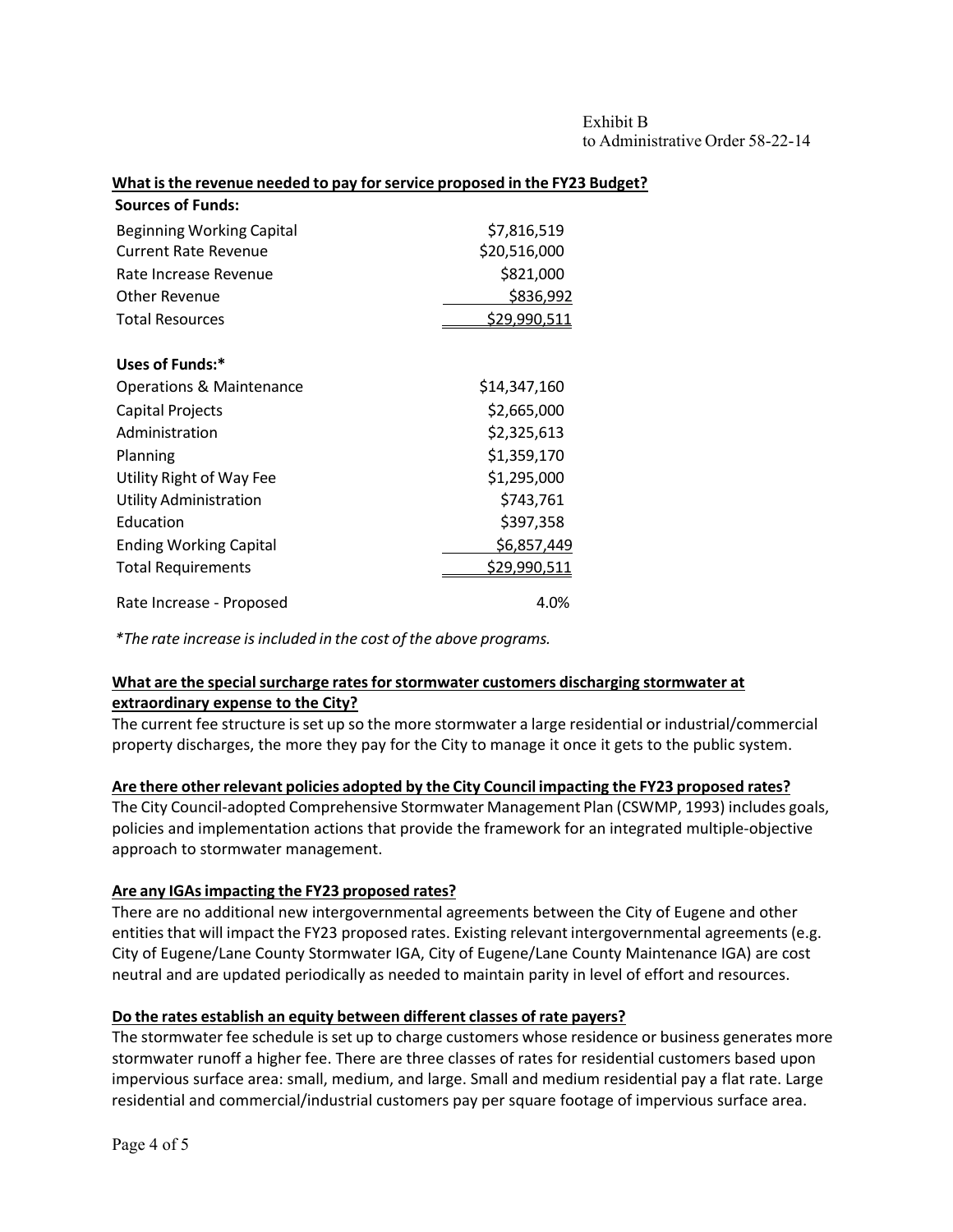#### **What isthe revenue needed to pay forservice proposed in the FY23 Budget?**

| <b>Sources of Funds:</b>            |                     |
|-------------------------------------|---------------------|
| Beginning Working Capital           | \$7,816,519         |
| <b>Current Rate Revenue</b>         | \$20,516,000        |
| Rate Increase Revenue               | \$821,000           |
| Other Revenue                       | \$836,992           |
| <b>Total Resources</b>              | \$29,990,511        |
| Uses of Funds:*                     |                     |
| <b>Operations &amp; Maintenance</b> | \$14,347,160        |
| Capital Projects                    | \$2,665,000         |
| Administration                      | \$2,325,613         |
| Planning                            | \$1,359,170         |
| Utility Right of Way Fee            | \$1,295,000         |
| <b>Utility Administration</b>       | \$743,761           |
| Education                           | \$397,358           |
| <b>Ending Working Capital</b>       | \$6,857,449         |
| <b>Total Requirements</b>           | <u>\$29,990,511</u> |
| Rate Increase - Proposed            | 4.0%                |

*\*The rate increase is included in the cost of the above programs.*

### **What are the specialsurcharge ratesforstormwater customers discharging stormwater at extraordinary expense to the City?**

The current fee structure isset up so the more stormwater a large residential or industrial/commercial property discharges, the more they pay for the City to manage it once it gets to the public system.

### **Are there otherrelevant policies adopted by the City Council impacting the FY23 proposed rates?**

The City Council‐adopted Comprehensive Stormwater Management Plan (CSWMP, 1993) includes goals, policies and implementation actions that provide the framework for an integrated multiple‐objective approach to stormwater management.

### **Are any IGAsimpacting the FY23 proposed rates?**

There are no additional new intergovernmental agreements between the City of Eugene and other entities that will impact the FY23 proposed rates. Existing relevant intergovernmental agreements (e.g. City of Eugene/Lane County Stormwater IGA, City of Eugene/Lane County Maintenance IGA) are cost neutral and are updated periodically as needed to maintain parity in level of effort and resources.

### **Do the rates establish an equity between different classes of rate payers?**

The stormwater fee schedule isset up to charge customers whose residence or business generates more stormwater runoff a higher fee. There are three classes of rates for residential customers based upon impervious surface area: small, medium, and large. Small and medium residential pay a flat rate. Large residential and commercial/industrial customers pay per square footage of impervious surface area.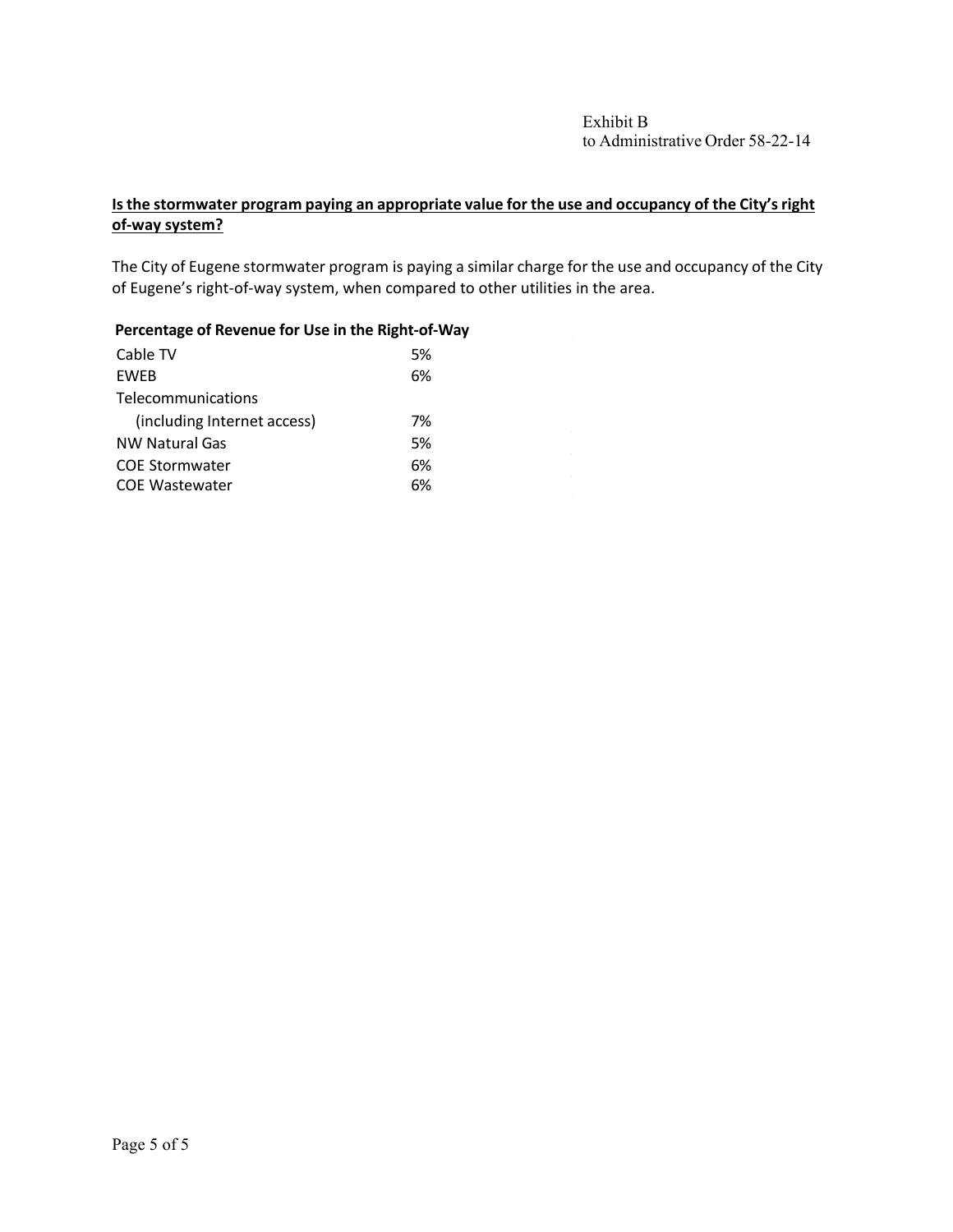# **Isthe stormwater program paying an appropriate value for the use and occupancy of the City'sright of‐way system?**

The City of Eugene stormwater program is paying a similar charge for the use and occupancy of the City of Eugene's right‐of‐way system, when compared to other utilities in the area.

### **Percentage of Revenue for Use in the Right‐of‐Way**

| Cable TV                    | .5% |
|-----------------------------|-----|
| <b>FWFB</b>                 | 6%  |
| Telecommunications          |     |
| (including Internet access) | 7%  |
| <b>NW Natural Gas</b>       | .5% |
| <b>COE Stormwater</b>       | 6%  |
| <b>COE Wastewater</b>       | ና%  |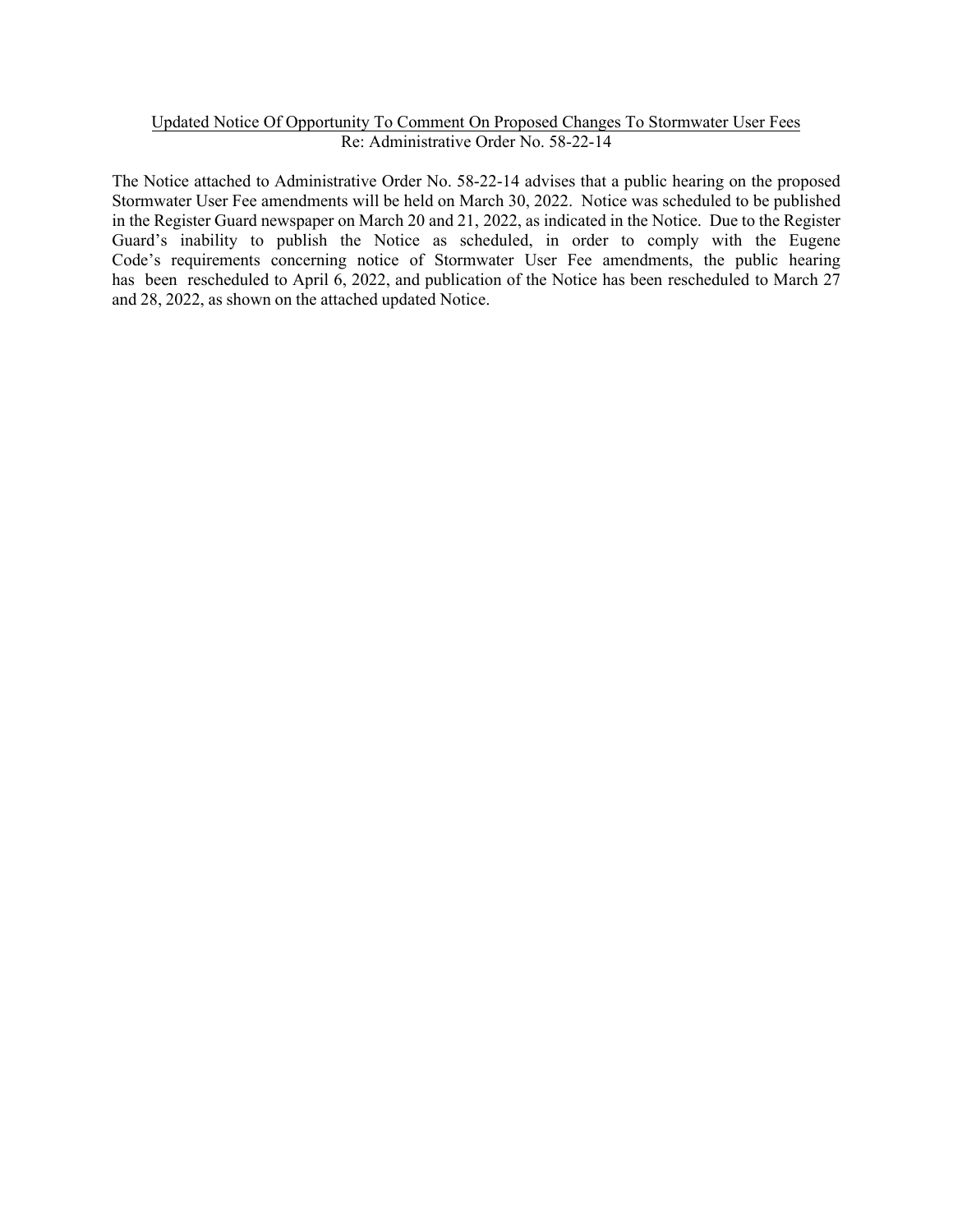#### Updated Notice Of Opportunity To Comment On Proposed Changes To Stormwater User Fees Re: Administrative Order No. 58-22-14

The Notice attached to Administrative Order No. 58-22-14 advises that a public hearing on the proposed Stormwater User Fee amendments will be held on March 30, 2022. Notice was scheduled to be published in the Register Guard newspaper on March 20 and 21, 2022, as indicated in the Notice. Due to the Register Guard's inability to publish the Notice as scheduled, in order to comply with the Eugene Code's requirements concerning notice of Stormwater User Fee amendments, the public hearing has been rescheduled to April 6, 2022, and publication of the Notice has been rescheduled to March 27 and 28, 2022, as shown on the attached updated Notice.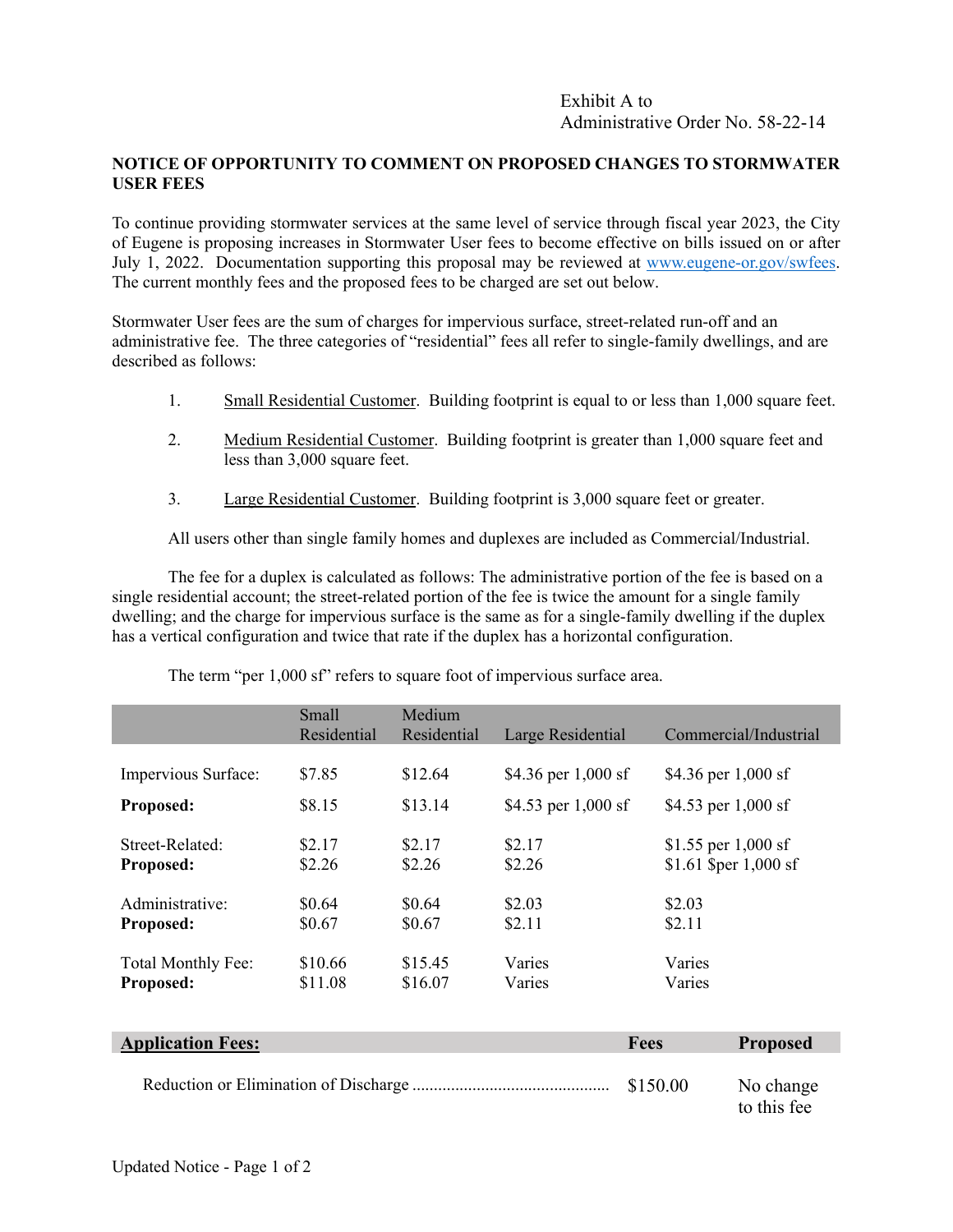## **NOTICE OF OPPORTUNITY TO COMMENT ON PROPOSED CHANGES TO STORMWATER USER FEES**

To continue providing stormwater services at the same level of service through fiscal year 2023, the City of Eugene is proposing increases in Stormwater User fees to become effective on bills issued on or after July 1, 2022. Documentation supporting this proposal may be reviewed at [www.eugene-or.gov/swfees.](http://www.eugene-or.gov/swfees)  The current monthly fees and the proposed fees to be charged are set out below.

Stormwater User fees are the sum of charges for impervious surface, street-related run-off and an administrative fee. The three categories of "residential" fees all refer to single-family dwellings, and are described as follows:

- 1. Small Residential Customer. Building footprint is equal to or less than 1,000 square feet.
- 2. Medium Residential Customer. Building footprint is greater than 1,000 square feet and less than 3,000 square feet.
- 3. Large Residential Customer. Building footprint is 3,000 square feet or greater.

All users other than single family homes and duplexes are included as Commercial/Industrial.

The fee for a duplex is calculated as follows: The administrative portion of the fee is based on a single residential account; the street-related portion of the fee is twice the amount for a single family dwelling; and the charge for impervious surface is the same as for a single-family dwelling if the duplex has a vertical configuration and twice that rate if the duplex has a horizontal configuration.

|                     | Small       | Medium      |                       |                       |
|---------------------|-------------|-------------|-----------------------|-----------------------|
|                     | Residential | Residential | Large Residential     | Commercial/Industrial |
|                     |             |             |                       |                       |
| Impervious Surface: | \$7.85      | \$12.64     | \$4.36 per $1,000$ sf | \$4.36 per $1,000$ sf |
| Proposed:           | \$8.15      | \$13.14     | \$4.53 per $1,000$ sf | \$4.53 per $1,000$ sf |
|                     |             |             |                       |                       |
| Street-Related:     | \$2.17      | \$2.17      | \$2.17                | \$1.55 per $1,000$ sf |
| Proposed:           | \$2.26      | \$2.26      | \$2.26                | \$1.61 \$per 1,000 sf |
|                     |             |             |                       |                       |
| Administrative:     | \$0.64      | \$0.64      | \$2.03                | \$2.03                |
| <b>Proposed:</b>    | \$0.67      | \$0.67      | \$2.11                | \$2.11                |
|                     |             |             |                       |                       |
| Total Monthly Fee:  | \$10.66     | \$15.45     | Varies                | Varies                |
| Proposed:           | \$11.08     | \$16.07     | Varies                | Varies                |

The term "per 1,000 sf" refers to square foot of impervious surface area.

| <b>Application Fees:</b> | <b>Fees</b> | <b>Proposed</b>          |
|--------------------------|-------------|--------------------------|
|                          |             | No change<br>to this fee |